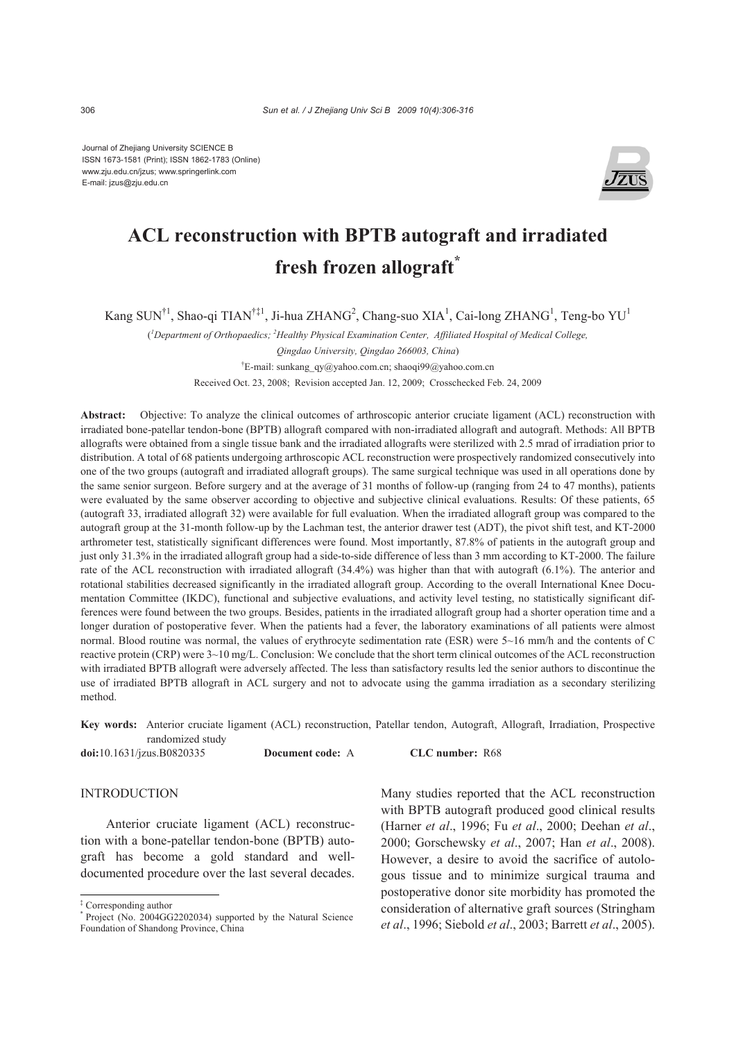Journal of Zhejiang University SCIENCE B ISSN 1673-1581 (Print); ISSN 1862-1783 (Online) www.zju.edu.cn/jzus; www.springerlink.com E-mail: jzus@zju.edu.cn



# **ACL reconstruction with BPTB autograft and irradiated fresh frozen allograft\***

Kang SUN<sup>†1</sup>, Shao-qi TIAN<sup>†‡1</sup>, Ji-hua ZHANG<sup>2</sup>, Chang-suo XIA<sup>1</sup>, Cai-long ZHANG<sup>1</sup>, Teng-bo YU<sup>1</sup>

( *1 Department of Orthopaedics; 2 Healthy Physical Examination Center, Affiliated Hospital of Medical College,* 

*Qingdao University, Qingdao 266003, China*)

† E-mail: sunkang\_qy@yahoo.com.cn; shaoqi99@yahoo.com.cn

Received Oct. 23, 2008; Revision accepted Jan. 12, 2009; Crosschecked Feb. 24, 2009

**Abstract:** Objective: To analyze the clinical outcomes of arthroscopic anterior cruciate ligament (ACL) reconstruction with irradiated bone-patellar tendon-bone (BPTB) allograft compared with non-irradiated allograft and autograft. Methods: All BPTB allografts were obtained from a single tissue bank and the irradiated allografts were sterilized with 2.5 mrad of irradiation prior to distribution. A total of 68 patients undergoing arthroscopic ACL reconstruction were prospectively randomized consecutively into one of the two groups (autograft and irradiated allograft groups). The same surgical technique was used in all operations done by the same senior surgeon. Before surgery and at the average of 31 months of follow-up (ranging from 24 to 47 months), patients were evaluated by the same observer according to objective and subjective clinical evaluations. Results: Of these patients, 65 (autograft 33, irradiated allograft 32) were available for full evaluation. When the irradiated allograft group was compared to the autograft group at the 31-month follow-up by the Lachman test, the anterior drawer test (ADT), the pivot shift test, and KT-2000 arthrometer test, statistically significant differences were found. Most importantly, 87.8% of patients in the autograft group and just only 31.3% in the irradiated allograft group had a side-to-side difference of less than 3 mm according to KT-2000. The failure rate of the ACL reconstruction with irradiated allograft (34.4%) was higher than that with autograft (6.1%). The anterior and rotational stabilities decreased significantly in the irradiated allograft group. According to the overall International Knee Documentation Committee (IKDC), functional and subjective evaluations, and activity level testing, no statistically significant differences were found between the two groups. Besides, patients in the irradiated allograft group had a shorter operation time and a longer duration of postoperative fever. When the patients had a fever, the laboratory examinations of all patients were almost normal. Blood routine was normal, the values of erythrocyte sedimentation rate (ESR) were 5~16 mm/h and the contents of C reactive protein (CRP) were 3~10 mg/L. Conclusion: We conclude that the short term clinical outcomes of the ACL reconstruction with irradiated BPTB allograft were adversely affected. The less than satisfactory results led the senior authors to discontinue the use of irradiated BPTB allograft in ACL surgery and not to advocate using the gamma irradiation as a secondary sterilizing method.

**Key words:** Anterior cruciate ligament (ACL) reconstruction, Patellar tendon, Autograft, Allograft, Irradiation, Prospective randomized study

**doi:**10.1631/jzus.B0820335 **Document code:** A **CLC number:** R68

## INTRODUCTION

Anterior cruciate ligament (ACL) reconstruction with a bone-patellar tendon-bone (BPTB) autograft has become a gold standard and welldocumented procedure over the last several decades. Many studies reported that the ACL reconstruction with BPTB autograft produced good clinical results (Harner *et al*., 1996; Fu *et al*., 2000; Deehan *et al*., 2000; Gorschewsky *et al*., 2007; Han *et al*., 2008). However, a desire to avoid the sacrifice of autologous tissue and to minimize surgical trauma and postoperative donor site morbidity has promoted the consideration of alternative graft sources (Stringham *et al*., 1996; Siebold *et al*., 2003; Barrett *et al*., 2005).

<sup>‡</sup> Corresponding author

<sup>\*</sup> Project (No. 2004GG2202034) supported by the Natural Science Foundation of Shandong Province, China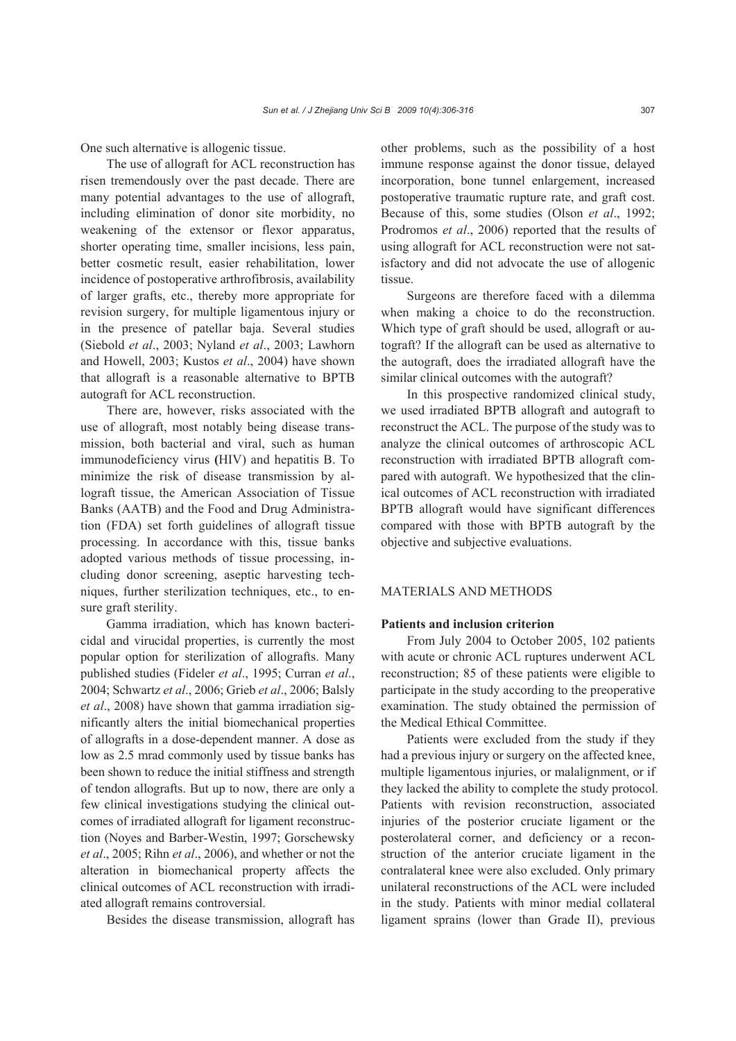One such alternative is allogenic tissue.

The use of allograft for ACL reconstruction has risen tremendously over the past decade. There are many potential advantages to the use of allograft, including elimination of donor site morbidity, no weakening of the extensor or flexor apparatus, shorter operating time, smaller incisions, less pain, better cosmetic result, easier rehabilitation, lower incidence of postoperative arthrofibrosis, availability of larger grafts, etc., thereby more appropriate for revision surgery, for multiple ligamentous injury or in the presence of patellar baja. Several studies (Siebold *et al*., 2003; Nyland *et al*., 2003; Lawhorn and Howell, 2003; Kustos *et al*., 2004) have shown that allograft is a reasonable alternative to BPTB autograft for ACL reconstruction.

There are, however, risks associated with the use of allograft, most notably being disease transmission, both bacterial and viral, such as human immunodeficiency virus **(**HIV) and hepatitis B. To minimize the risk of disease transmission by allograft tissue, the American Association of Tissue Banks (AATB) and the Food and Drug Administration (FDA) set forth guidelines of allograft tissue processing. In accordance with this, tissue banks adopted various methods of tissue processing, including donor screening, aseptic harvesting techniques, further sterilization techniques, etc., to ensure graft sterility.

Gamma irradiation, which has known bactericidal and virucidal properties, is currently the most popular option for sterilization of allografts. Many published studies (Fideler *et al*., 1995; Curran *et al*., 2004; Schwartz *et al*., 2006; Grieb *et al*., 2006; Balsly *et al*., 2008) have shown that gamma irradiation significantly alters the initial biomechanical properties of allografts in a dose-dependent manner. A dose as low as 2.5 mrad commonly used by tissue banks has been shown to reduce the initial stiffness and strength of tendon allografts. But up to now, there are only a few clinical investigations studying the clinical outcomes of irradiated allograft for ligament reconstruction (Noyes and Barber-Westin, 1997; Gorschewsky *et al*., 2005; Rihn *et al*., 2006), and whether or not the alteration in biomechanical property affects the clinical outcomes of ACL reconstruction with irradiated allograft remains controversial.

Besides the disease transmission, allograft has

other problems, such as the possibility of a host immune response against the donor tissue, delayed incorporation, bone tunnel enlargement, increased postoperative traumatic rupture rate, and graft cost. Because of this, some studies (Olson *et al*., 1992; Prodromos *et al*., 2006) reported that the results of using allograft for ACL reconstruction were not satisfactory and did not advocate the use of allogenic tissue.

Surgeons are therefore faced with a dilemma when making a choice to do the reconstruction. Which type of graft should be used, allograft or autograft? If the allograft can be used as alternative to the autograft, does the irradiated allograft have the similar clinical outcomes with the autograft?

In this prospective randomized clinical study, we used irradiated BPTB allograft and autograft to reconstruct the ACL. The purpose of the study was to analyze the clinical outcomes of arthroscopic ACL reconstruction with irradiated BPTB allograft compared with autograft. We hypothesized that the clinical outcomes of ACL reconstruction with irradiated BPTB allograft would have significant differences compared with those with BPTB autograft by the objective and subjective evaluations.

# MATERIALS AND METHODS

## **Patients and inclusion criterion**

From July 2004 to October 2005, 102 patients with acute or chronic ACL ruptures underwent ACL reconstruction; 85 of these patients were eligible to participate in the study according to the preoperative examination. The study obtained the permission of the Medical Ethical Committee.

Patients were excluded from the study if they had a previous injury or surgery on the affected knee, multiple ligamentous injuries, or malalignment, or if they lacked the ability to complete the study protocol. Patients with revision reconstruction, associated injuries of the posterior cruciate ligament or the posterolateral corner, and deficiency or a reconstruction of the anterior cruciate ligament in the contralateral knee were also excluded. Only primary unilateral reconstructions of the ACL were included in the study. Patients with minor medial collateral ligament sprains (lower than Grade II), previous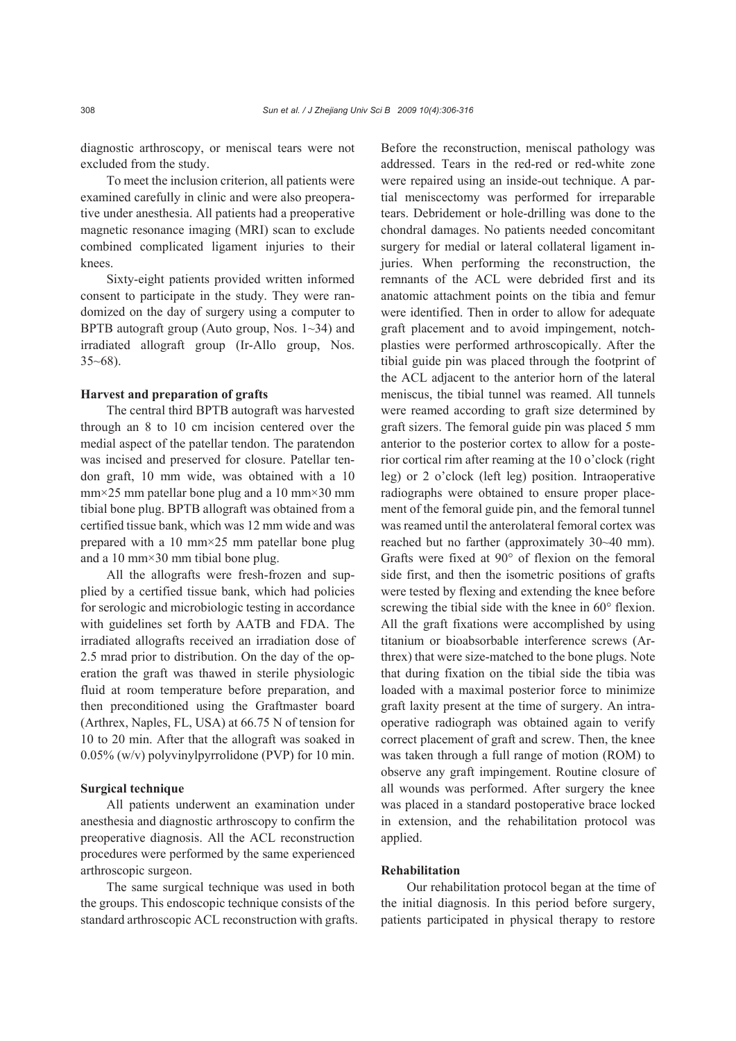diagnostic arthroscopy, or meniscal tears were not excluded from the study.

To meet the inclusion criterion, all patients were examined carefully in clinic and were also preoperative under anesthesia. All patients had a preoperative magnetic resonance imaging (MRI) scan to exclude combined complicated ligament injuries to their knees.

Sixty-eight patients provided written informed consent to participate in the study. They were randomized on the day of surgery using a computer to BPTB autograft group (Auto group, Nos. 1~34) and irradiated allograft group (Ir-Allo group, Nos.  $35~68$ ).

#### **Harvest and preparation of grafts**

The central third BPTB autograft was harvested through an 8 to 10 cm incision centered over the medial aspect of the patellar tendon. The paratendon was incised and preserved for closure. Patellar tendon graft, 10 mm wide, was obtained with a 10 mm×25 mm patellar bone plug and a 10 mm×30 mm tibial bone plug. BPTB allograft was obtained from a certified tissue bank, which was 12 mm wide and was prepared with a 10 mm×25 mm patellar bone plug and a 10 mm×30 mm tibial bone plug.

All the allografts were fresh-frozen and supplied by a certified tissue bank, which had policies for serologic and microbiologic testing in accordance with guidelines set forth by AATB and FDA. The irradiated allografts received an irradiation dose of 2.5 mrad prior to distribution. On the day of the operation the graft was thawed in sterile physiologic fluid at room temperature before preparation, and then preconditioned using the Graftmaster board (Arthrex, Naples, FL, USA) at 66.75 N of tension for 10 to 20 min. After that the allograft was soaked in 0.05% (w/v) polyvinylpyrrolidone (PVP) for 10 min.

## **Surgical technique**

All patients underwent an examination under anesthesia and diagnostic arthroscopy to confirm the preoperative diagnosis. All the ACL reconstruction procedures were performed by the same experienced arthroscopic surgeon.

The same surgical technique was used in both the groups. This endoscopic technique consists of the standard arthroscopic ACL reconstruction with grafts. Before the reconstruction, meniscal pathology was addressed. Tears in the red-red or red-white zone were repaired using an inside-out technique. A partial meniscectomy was performed for irreparable tears. Debridement or hole-drilling was done to the chondral damages. No patients needed concomitant surgery for medial or lateral collateral ligament injuries. When performing the reconstruction, the remnants of the ACL were debrided first and its anatomic attachment points on the tibia and femur were identified. Then in order to allow for adequate graft placement and to avoid impingement, notchplasties were performed arthroscopically. After the tibial guide pin was placed through the footprint of the ACL adjacent to the anterior horn of the lateral meniscus, the tibial tunnel was reamed. All tunnels were reamed according to graft size determined by graft sizers. The femoral guide pin was placed 5 mm anterior to the posterior cortex to allow for a posterior cortical rim after reaming at the 10 o'clock (right leg) or 2 o'clock (left leg) position. Intraoperative radiographs were obtained to ensure proper placement of the femoral guide pin, and the femoral tunnel was reamed until the anterolateral femoral cortex was reached but no farther (approximately 30~40 mm). Grafts were fixed at 90° of flexion on the femoral side first, and then the isometric positions of grafts were tested by flexing and extending the knee before screwing the tibial side with the knee in 60° flexion. All the graft fixations were accomplished by using titanium or bioabsorbable interference screws (Arthrex) that were size-matched to the bone plugs. Note that during fixation on the tibial side the tibia was loaded with a maximal posterior force to minimize graft laxity present at the time of surgery. An intraoperative radiograph was obtained again to verify correct placement of graft and screw. Then, the knee was taken through a full range of motion (ROM) to observe any graft impingement. Routine closure of all wounds was performed. After surgery the knee was placed in a standard postoperative brace locked in extension, and the rehabilitation protocol was applied.

# **Rehabilitation**

Our rehabilitation protocol began at the time of the initial diagnosis. In this period before surgery, patients participated in physical therapy to restore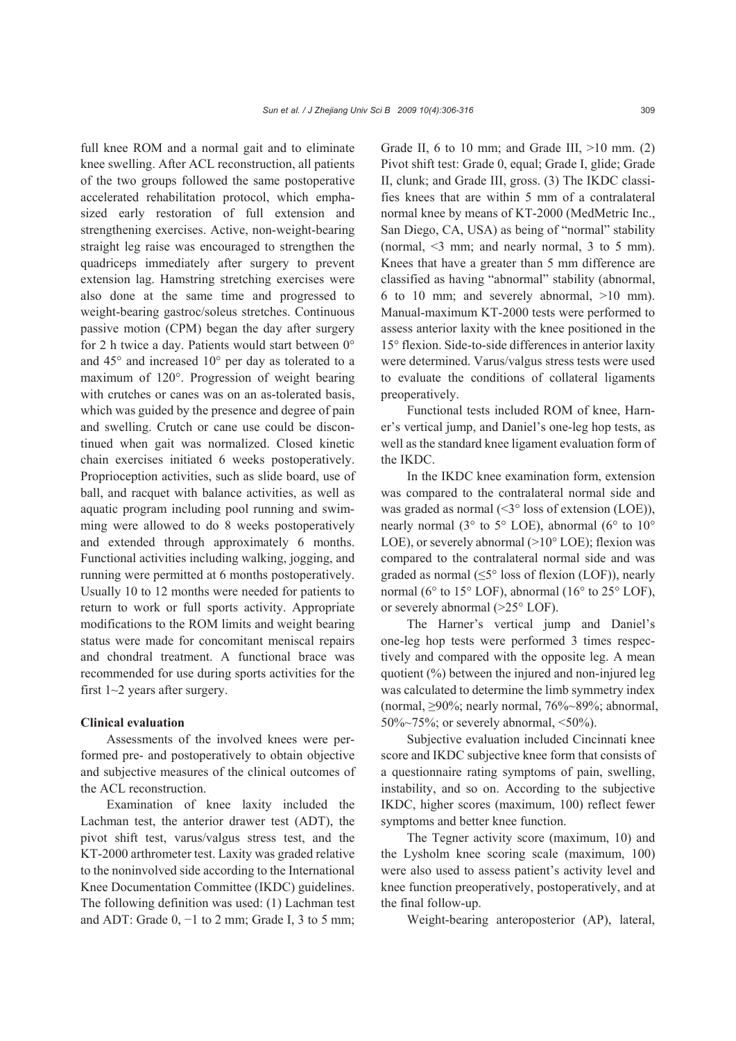full knee ROM and a normal gait and to eliminate knee swelling. After ACL reconstruction, all patients of the two groups followed the same postoperative accelerated rehabilitation protocol, which emphasized early restoration of full extension and strengthening exercises. Active, non-weight-bearing straight leg raise was encouraged to strengthen the quadriceps immediately after surgery to prevent extension lag. Hamstring stretching exercises were also done at the same time and progressed to weight-bearing gastroc/soleus stretches. Continuous passive motion (CPM) began the day after surgery for 2 h twice a day. Patients would start between 0° and 45° and increased 10° per day as tolerated to a maximum of 120°. Progression of weight bearing with crutches or canes was on an as-tolerated basis, which was guided by the presence and degree of pain and swelling. Crutch or cane use could be discontinued when gait was normalized. Closed kinetic chain exercises initiated 6 weeks postoperatively. Proprioception activities, such as slide board, use of ball, and racquet with balance activities, as well as aquatic program including pool running and swimming were allowed to do 8 weeks postoperatively and extended through approximately 6 months. Functional activities including walking, jogging, and running were permitted at 6 months postoperatively. Usually 10 to 12 months were needed for patients to return to work or full sports activity. Appropriate modifications to the ROM limits and weight bearing status were made for concomitant meniscal repairs and chondral treatment. A functional brace was recommended for use during sports activities for the first  $1~2$  years after surgery.

#### **Clinical evaluation**

Assessments of the involved knees were performed pre- and postoperatively to obtain objective and subjective measures of the clinical outcomes of the ACL reconstruction.

Examination of knee laxity included the Lachman test, the anterior drawer test (ADT), the pivot shift test, varus/valgus stress test, and the KT-2000 arthrometer test. Laxity was graded relative to the noninvolved side according to the International Knee Documentation Committee (IKDC) guidelines. The following definition was used: (1) Lachman test and ADT: Grade  $0, -1$  to 2 mm; Grade I, 3 to 5 mm; Grade II, 6 to 10 mm; and Grade III,  $>10$  mm. (2) Pivot shift test: Grade 0, equal; Grade I, glide; Grade II, clunk; and Grade III, gross. (3) The IKDC classifies knees that are within 5 mm of a contralateral normal knee by means of KT-2000 (MedMetric Inc., San Diego, CA, USA) as being of "normal" stability (normal, <3 mm; and nearly normal, 3 to 5 mm). Knees that have a greater than 5 mm difference are classified as having "abnormal" stability (abnormal, 6 to 10 mm; and severely abnormal, >10 mm). Manual-maximum KT-2000 tests were performed to assess anterior laxity with the knee positioned in the 15° flexion. Side-to-side differences in anterior laxity were determined. Varus/valgus stress tests were used to evaluate the conditions of collateral ligaments preoperatively.

Functional tests included ROM of knee, Harner's vertical jump, and Daniel's one-leg hop tests, as well as the standard knee ligament evaluation form of the IKDC.

In the IKDC knee examination form, extension was compared to the contralateral normal side and was graded as normal  $( $3^{\circ}$  loss of extension (LOE)),$ nearly normal (3° to 5° LOE), abnormal (6° to 10° LOE), or severely abnormal  $(>10^{\circ}$  LOE); flexion was compared to the contralateral normal side and was graded as normal  $(\leq 5^{\circ}$  loss of flexion (LOF)), nearly normal (6° to 15° LOF), abnormal (16° to 25° LOF), or severely abnormal (>25° LOF).

The Harner's vertical jump and Daniel's one-leg hop tests were performed 3 times respectively and compared with the opposite leg. A mean quotient (%) between the injured and non-injured leg was calculated to determine the limb symmetry index (normal, ≥90%; nearly normal, 76%~89%; abnormal, 50% $\sim$ 75%; or severely abnormal, <50%).

Subjective evaluation included Cincinnati knee score and IKDC subjective knee form that consists of a questionnaire rating symptoms of pain, swelling, instability, and so on. According to the subjective IKDC, higher scores (maximum, 100) reflect fewer symptoms and better knee function.

The Tegner activity score (maximum, 10) and the Lysholm knee scoring scale (maximum, 100) were also used to assess patient's activity level and knee function preoperatively, postoperatively, and at the final follow-up.

Weight-bearing anteroposterior (AP), lateral,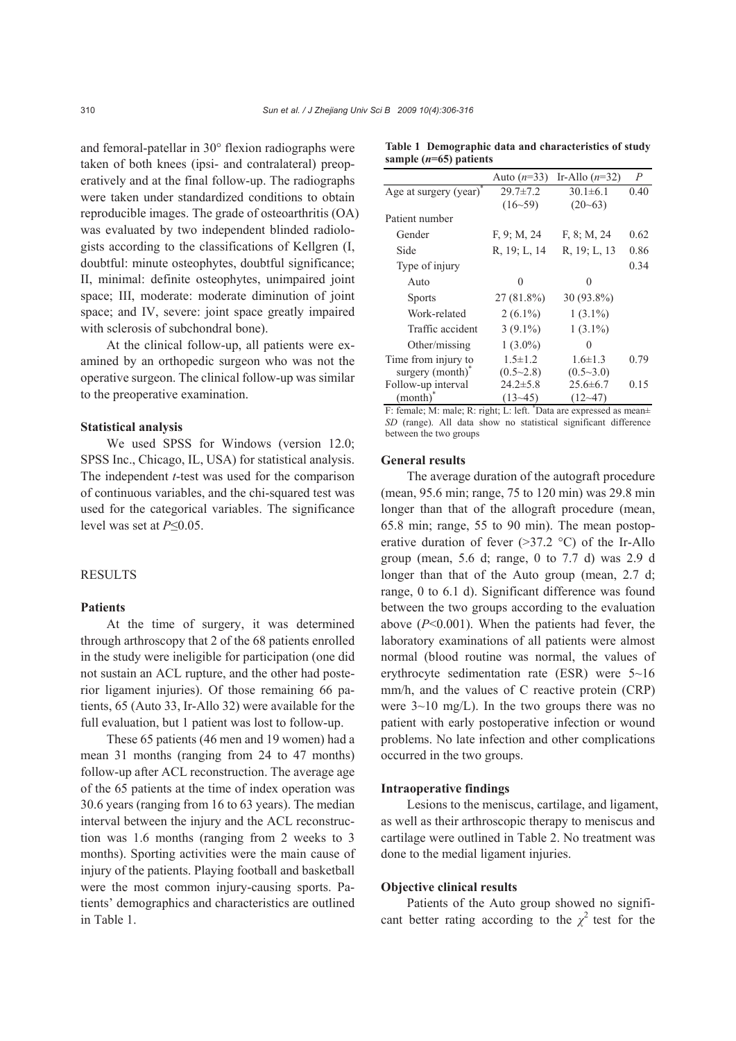and femoral-patellar in 30° flexion radiographs were taken of both knees (ipsi- and contralateral) preoperatively and at the final follow-up. The radiographs were taken under standardized conditions to obtain reproducible images. The grade of osteoarthritis (OA) was evaluated by two independent blinded radiologists according to the classifications of Kellgren (I, doubtful: minute osteophytes, doubtful significance; II, minimal: definite osteophytes, unimpaired joint space; III, moderate: moderate diminution of joint space; and IV, severe: joint space greatly impaired with sclerosis of subchondral bone).

At the clinical follow-up, all patients were examined by an orthopedic surgeon who was not the operative surgeon. The clinical follow-up was similar to the preoperative examination.

## **Statistical analysis**

We used SPSS for Windows (version 12.0; SPSS Inc., Chicago, IL, USA) for statistical analysis. The independent *t*-test was used for the comparison of continuous variables, and the chi-squared test was used for the categorical variables. The significance level was set at *P*≤0.05.

# RESULTS

## **Patients**

At the time of surgery, it was determined through arthroscopy that 2 of the 68 patients enrolled in the study were ineligible for participation (one did not sustain an ACL rupture, and the other had posterior ligament injuries). Of those remaining 66 patients, 65 (Auto 33, Ir-Allo 32) were available for the full evaluation, but 1 patient was lost to follow-up.

These 65 patients (46 men and 19 women) had a mean 31 months (ranging from 24 to 47 months) follow-up after ACL reconstruction. The average age of the 65 patients at the time of index operation was 30.6 years (ranging from 16 to 63 years). The median interval between the injury and the ACL reconstruction was 1.6 months (ranging from 2 weeks to 3 months). Sporting activities were the main cause of injury of the patients. Playing football and basketball were the most common injury-causing sports. Patients' demographics and characteristics are outlined in Table 1.

|                                    | Auto $(n=33)$  | Ir-Allo $(n=32)$ | $\overline{P}$ |
|------------------------------------|----------------|------------------|----------------|
| Age at surgery (year) <sup>*</sup> | $29.7 \pm 7.2$ | $30.1 \pm 6.1$   | 0.40           |
|                                    | $(16 - 59)$    | $(20-63)$        |                |
| Patient number                     |                |                  |                |
| Gender                             | F, 9; M, 24    | F, 8; M, 24      | 0.62           |
| Side                               | R, 19; L, 14   | R, 19; L, 13     | 0.86           |
| Type of injury                     |                |                  | 0.34           |
| Auto                               | $\Omega$       | 0                |                |
| <b>Sports</b>                      | 27 (81.8%)     | 30 (93.8%)       |                |
| Work-related                       | $2(6.1\%)$     | $1(3.1\%)$       |                |
| Traffic accident                   | $3(9.1\%)$     | $1(3.1\%)$       |                |
| Other/missing                      | $1(3.0\%)$     | 0                |                |
| Time from injury to                | $1.5 \pm 1.2$  | $1.6 \pm 1.3$    | 0.79           |
| surgery (month)                    | (0.5~2.8)      | (0.5~3.0)        |                |

**Table 1 Demographic data and characteristics of study sample (***n***=65) patients**

F: female; M: male; R: right; L: left. \* Data are expressed as mean± *SD* (range). All data show no statistical significant difference between the two groups

 $24.2 \pm 5.8$  $(13-45)$ 

 $25.6 \pm 6.7$  $(12-47)$  0.15

#### **General results**

Follow-up interval (month)\*

The average duration of the autograft procedure (mean, 95.6 min; range, 75 to 120 min) was 29.8 min longer than that of the allograft procedure (mean, 65.8 min; range, 55 to 90 min). The mean postoperative duration of fever  $(>37.2 \degree C)$  of the Ir-Allo group (mean, 5.6 d; range, 0 to 7.7 d) was 2.9 d longer than that of the Auto group (mean, 2.7 d; range, 0 to 6.1 d). Significant difference was found between the two groups according to the evaluation above (*P*<0.001). When the patients had fever, the laboratory examinations of all patients were almost normal (blood routine was normal, the values of erythrocyte sedimentation rate (ESR) were 5~16 mm/h, and the values of C reactive protein (CRP) were 3~10 mg/L). In the two groups there was no patient with early postoperative infection or wound problems. No late infection and other complications occurred in the two groups.

## **Intraoperative findings**

Lesions to the meniscus, cartilage, and ligament, as well as their arthroscopic therapy to meniscus and cartilage were outlined in Table 2. No treatment was done to the medial ligament injuries.

#### **Objective clinical results**

Patients of the Auto group showed no significant better rating according to the  $\chi^2$  test for the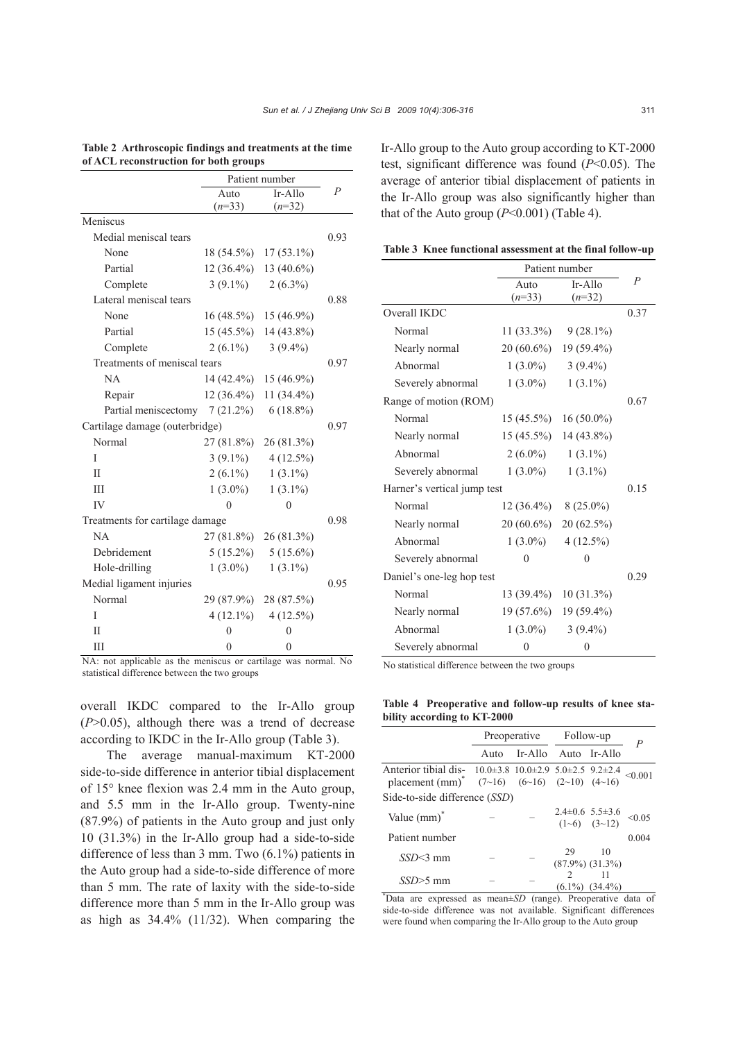|                                  | Patient number |               |      |  |
|----------------------------------|----------------|---------------|------|--|
|                                  | Auto           | $Ir-Allo$     | P    |  |
|                                  | $(n=33)$       | $(n=32)$      |      |  |
| Meniscus                         |                |               |      |  |
| Medial meniscal tears            |                |               | 0.93 |  |
| None                             | 18 (54.5%)     | $17(53.1\%)$  |      |  |
| Partial                          | $12(36.4\%)$   | 13 $(40.6\%)$ |      |  |
| Complete                         | $3(9.1\%)$     | $2(6.3\%)$    |      |  |
| Lateral meniscal tears           |                |               | 0.88 |  |
| None                             | $16(48.5\%)$   | $15(46.9\%)$  |      |  |
| Partial                          | $15(45.5\%)$   | $14(43.8\%)$  |      |  |
| Complete                         | $2(6.1\%)$     | $3(9.4\%)$    |      |  |
| Treatments of meniscal tears     |                |               | 0.97 |  |
| NA                               | $14(42.4\%)$   | $15(46.9\%)$  |      |  |
| Repair                           | $12(36.4\%)$   | $11(34.4\%)$  |      |  |
| Partial meniscectomy $7(21.2\%)$ |                | $6(18.8\%)$   |      |  |
| Cartilage damage (outerbridge)   |                |               |      |  |
| Normal                           | 27 (81.8%)     | 26 (81.3%)    |      |  |
| T                                | $3(9.1\%)$     | $4(12.5\%)$   |      |  |
| Н                                | $2(6.1\%)$     | $1(3.1\%)$    |      |  |
| IΙI                              | $1(3.0\%)$     | $1(3.1\%)$    |      |  |
| IV                               | $\theta$       | $\Omega$      |      |  |
| Treatments for cartilage damage  |                |               | 0.98 |  |
| NA                               | 27 (81.8%)     | 26(81.3%)     |      |  |
| Debridement                      | $5(15.2\%)$    | $5(15.6\%)$   |      |  |
| Hole-drilling                    | $1(3.0\%)$     | $1(3.1\%)$    |      |  |
| Medial ligament injuries         |                |               | 0.95 |  |
| Normal                           | 29 (87.9%)     | 28 (87.5%)    |      |  |
| I                                | $4(12.1\%)$    | $4(12.5\%)$   |      |  |
| Н                                | 0              | 0             |      |  |
| Ш                                | $\theta$       | $\theta$      |      |  |

#### **Table 2 Arthroscopic findings and treatments at the time of ACL reconstruction for both groups**

NA: not applicable as the meniscus or cartilage was normal. No statistical difference between the two groups

overall IKDC compared to the Ir-Allo group  $(P>0.05)$ , although there was a trend of decrease according to IKDC in the Ir-Allo group (Table 3).

The average manual-maximum KT-2000 side-to-side difference in anterior tibial displacement of 15° knee flexion was 2.4 mm in the Auto group, and 5.5 mm in the Ir-Allo group. Twenty-nine (87.9%) of patients in the Auto group and just only 10 (31.3%) in the Ir-Allo group had a side-to-side difference of less than 3 mm. Two (6.1%) patients in the Auto group had a side-to-side difference of more than 5 mm. The rate of laxity with the side-to-side difference more than 5 mm in the Ir-Allo group was as high as 34.4% (11/32). When comparing the Ir-Allo group to the Auto group according to KT-2000 test, significant difference was found (*P*<0.05). The average of anterior tibial displacement of patients in the Ir-Allo group was also significantly higher than that of the Auto group  $(P<0.001)$  (Table 4).

**Table 3 Knee functional assessment at the final follow-up**

|                             | Patient number            |                       |                |
|-----------------------------|---------------------------|-----------------------|----------------|
|                             | Auto                      | $Ir-Allo$             | $\overline{P}$ |
|                             | $(n=33)$                  | $(n=32)$              |                |
| Overall IKDC                |                           |                       | 0.37           |
| Normal                      | $11(33.3\%)$              | $9(28.1\%)$           |                |
| Nearly normal               | $20(60.6\%)$              | $19(59.4\%)$          |                |
| Abnormal                    | $1(3.0\%)$                | $3(9.4\%)$            |                |
| Severely abnormal           | $1(3.0\%)$                | $1(3.1\%)$            |                |
| Range of motion (ROM)       |                           |                       | 0.67           |
| Normal                      | $15(45.5\%)$              | $16(50.0\%)$          |                |
| Nearly normal               | $15(45.5\%)$              | $14(43.8\%)$          |                |
| Abnormal                    | $2(6.0\%)$                | $1(3.1\%)$            |                |
| Severely abnormal           | $1(3.0\%)$                | $1(3.1\%)$            |                |
| Harner's vertical jump test |                           | 0.15                  |                |
| Normal                      | $12(36.4\%)$ 8 $(25.0\%)$ |                       |                |
| Nearly normal               |                           | 20 (60.6%) 20 (62.5%) |                |
| Abnormal                    | $1(3.0\%)$                | $4(12.5\%)$           |                |
| Severely abnormal           | 0                         | 0                     |                |
| Daniel's one-leg hop test   |                           |                       | 0.29           |
| Normal                      | $13(39.4\%)$              | 10 (31.3%)            |                |
| Nearly normal               | $19(57.6\%)$              | $19(59.4\%)$          |                |
| Abnormal                    | $1(3.0\%)$                | $3(9.4\%)$            |                |
| Severely abnormal           | 0                         | $\overline{0}$        |                |

No statistical difference between the two groups

**Table 4 Preoperative and follow-up results of knee stability according to KT-2000**

|                                                                                                                                                          | Preoperative Follow-up |         |               |                                            | $\boldsymbol{P}$ |
|----------------------------------------------------------------------------------------------------------------------------------------------------------|------------------------|---------|---------------|--------------------------------------------|------------------|
|                                                                                                                                                          | Auto                   | Ir-Allo |               | Auto Ir-Allo                               |                  |
| Anterior tibial dis-<br>$10.0\pm3.8$ $10.0\pm2.9$ $5.0\pm2.5$ $9.2\pm2.4$<br>placement (mm) <sup>*</sup> $(7\sim16)$ $(6\sim16)$ $(2\sim10)$ $(4\sim16)$ |                        |         |               |                                            | < 0.001          |
| Side-to-side difference (SSD)                                                                                                                            |                        |         |               |                                            |                  |
| Value $(mm)^*$                                                                                                                                           |                        |         |               | $2.4\pm 0.6$ 5.5 $\pm 3.6$<br>(1~6) (3~12) | < 0.05           |
| Patient number                                                                                                                                           |                        |         |               |                                            | 0.004            |
| $SSD < 3$ mm                                                                                                                                             |                        |         | 29            | 10<br>$(87.9\%) (31.3\%)$                  |                  |
| $SSD \geq 5$ mm                                                                                                                                          |                        |         | $\mathcal{D}$ | $(6.1\%) (34.4\%)$                         |                  |

\* Data are expressed as mean±*SD* (range). Preoperative data of side-to-side difference was not available. Significant differences were found when comparing the Ir-Allo group to the Auto group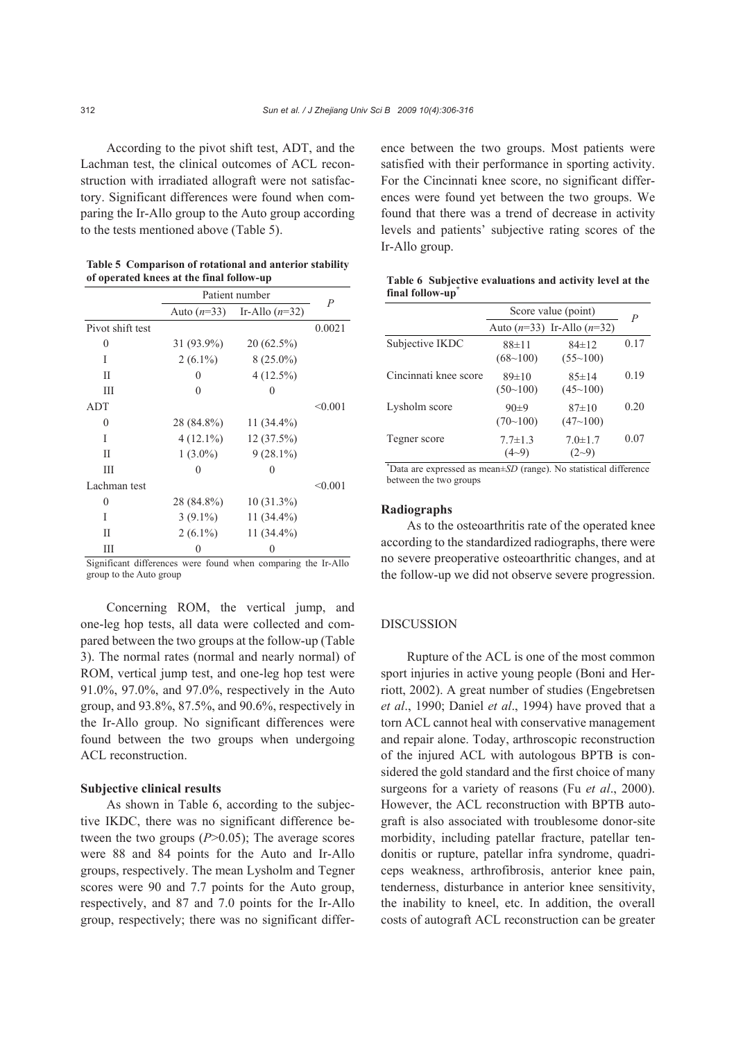According to the pivot shift test, ADT, and the Lachman test, the clinical outcomes of ACL reconstruction with irradiated allograft were not satisfactory. Significant differences were found when comparing the Ir-Allo group to the Auto group according to the tests mentioned above (Table 5).

**Table 5 Comparison of rotational and anterior stability of operated knees at the final follow-up**

|                  | Patient number |                                | $\overline{P}$ |
|------------------|----------------|--------------------------------|----------------|
|                  |                | Auto $(n=33)$ Ir-Allo $(n=32)$ |                |
| Pivot shift test |                |                                | 0.0021         |
| 0                | $31(93.9\%)$   | $20(62.5\%)$                   |                |
| Ī                | $2(6.1\%)$     | $8(25.0\%)$                    |                |
| П                | $\mathbf{0}$   | $4(12.5\%)$                    |                |
| Ш                |                | $\mathcal{L}$                  |                |
| <b>ADT</b>       |                |                                | < 0.001        |
| 0                | 28 (84.8%)     | $11(34.4\%)$                   |                |
| I                | $4(12.1\%)$    | $12(37.5\%)$                   |                |
| П                | $1(3.0\%)$     | $9(28.1\%)$                    |                |
| Ш                | 0              | 0                              |                |
| Lachman test     |                |                                | < 0.001        |
| 0                | 28 (84.8%)     | $10(31.3\%)$                   |                |
| Ī                | $3(9.1\%)$     | $11(34.4\%)$                   |                |
| П                | $2(6.1\%)$     | 11 (34.4%)                     |                |
| Ш                |                |                                |                |

Significant differences were found when comparing the Ir-Allo group to the Auto group

Concerning ROM, the vertical jump, and one-leg hop tests, all data were collected and compared between the two groups at the follow-up (Table 3). The normal rates (normal and nearly normal) of ROM, vertical jump test, and one-leg hop test were 91.0%, 97.0%, and 97.0%, respectively in the Auto group, and 93.8%, 87.5%, and 90.6%, respectively in the Ir-Allo group. No significant differences were found between the two groups when undergoing ACL reconstruction.

#### **Subjective clinical results**

As shown in Table 6, according to the subjective IKDC, there was no significant difference between the two groups (*P*>0.05); The average scores were 88 and 84 points for the Auto and Ir-Allo groups, respectively. The mean Lysholm and Tegner scores were 90 and 7.7 points for the Auto group, respectively, and 87 and 7.0 points for the Ir-Allo group, respectively; there was no significant difference between the two groups. Most patients were satisfied with their performance in sporting activity. For the Cincinnati knee score, no significant differences were found yet between the two groups. We found that there was a trend of decrease in activity levels and patients' subjective rating scores of the Ir-Allo group.

|                       | Score value (point)        |                                | $\overline{P}$ |
|-----------------------|----------------------------|--------------------------------|----------------|
|                       |                            | Auto $(n=33)$ Ir-Allo $(n=32)$ |                |
| Subjective IKDC       | $88 + 11$<br>$(68 - 100)$  | $84 \pm 12$<br>(55~100)        | 0.17           |
| Cincinnati knee score | 89±10<br>(50~100)          | $85 \pm 14$<br>(45~100)        | 0.19           |
| Lysholm score         | $90+9$<br>$(70-100)$       | 87±10<br>(47~100)              | 0.20           |
| Tegner score          | $7.7 \pm 1.3$<br>$(4 - 9)$ | $7.0 \pm 1.7$<br>$(2-9)$       | 0.07           |

**Table 6 Subjective evaluations and activity level at the**  final follow-up<sup>\*</sup>

\* Data are expressed as mean±*SD* (range). No statistical difference between the two groups

## **Radiographs**

As to the osteoarthritis rate of the operated knee according to the standardized radiographs, there were no severe preoperative osteoarthritic changes, and at the follow-up we did not observe severe progression.

#### DISCUSSION

Rupture of the ACL is one of the most common sport injuries in active young people (Boni and Herriott, 2002). A great number of studies (Engebretsen *et al*., 1990; Daniel *et al*., 1994) have proved that a torn ACL cannot heal with conservative management and repair alone. Today, arthroscopic reconstruction of the injured ACL with autologous BPTB is considered the gold standard and the first choice of many surgeons for a variety of reasons (Fu *et al*., 2000). However, the ACL reconstruction with BPTB autograft is also associated with troublesome donor-site morbidity, including patellar fracture, patellar tendonitis or rupture, patellar infra syndrome, quadriceps weakness, arthrofibrosis, anterior knee pain, tenderness, disturbance in anterior knee sensitivity, the inability to kneel, etc. In addition, the overall costs of autograft ACL reconstruction can be greater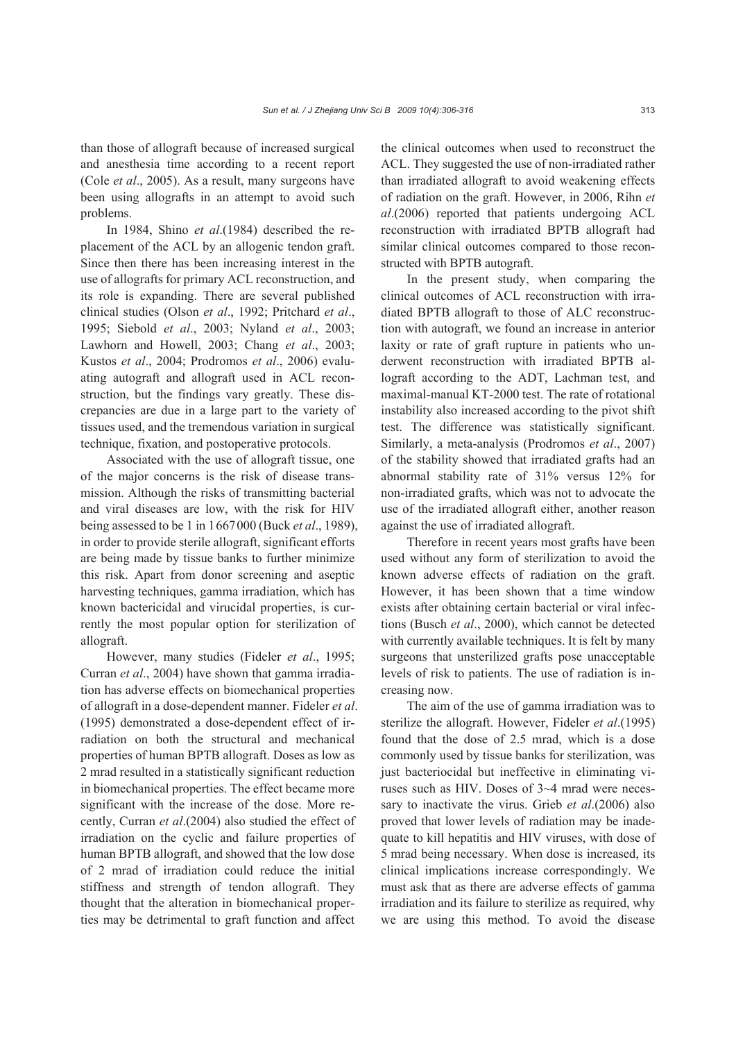than those of allograft because of increased surgical and anesthesia time according to a recent report (Cole *et al*., 2005). As a result, many surgeons have been using allografts in an attempt to avoid such problems.

In 1984, Shino *et al*.(1984) described the replacement of the ACL by an allogenic tendon graft. Since then there has been increasing interest in the use of allografts for primary ACL reconstruction, and its role is expanding. There are several published clinical studies (Olson *et al*., 1992; Pritchard *et al*., 1995; Siebold *et al*., 2003; Nyland *et al*., 2003; Lawhorn and Howell, 2003; Chang *et al*., 2003; Kustos *et al*., 2004; Prodromos *et al*., 2006) evaluating autograft and allograft used in ACL reconstruction, but the findings vary greatly. These discrepancies are due in a large part to the variety of tissues used, and the tremendous variation in surgical technique, fixation, and postoperative protocols.

Associated with the use of allograft tissue, one of the major concerns is the risk of disease transmission. Although the risks of transmitting bacterial and viral diseases are low, with the risk for HIV being assessed to be 1 in 1667000 (Buck *et al*., 1989), in order to provide sterile allograft, significant efforts are being made by tissue banks to further minimize this risk. Apart from donor screening and aseptic harvesting techniques, gamma irradiation, which has known bactericidal and virucidal properties, is currently the most popular option for sterilization of allograft.

However, many studies (Fideler *et al*., 1995; Curran *et al*., 2004) have shown that gamma irradiation has adverse effects on biomechanical properties of allograft in a dose-dependent manner. Fideler *et al*. (1995) demonstrated a dose-dependent effect of irradiation on both the structural and mechanical properties of human BPTB allograft. Doses as low as 2 mrad resulted in a statistically significant reduction in biomechanical properties. The effect became more significant with the increase of the dose. More recently, Curran *et al*.(2004) also studied the effect of irradiation on the cyclic and failure properties of human BPTB allograft, and showed that the low dose of 2 mrad of irradiation could reduce the initial stiffness and strength of tendon allograft. They thought that the alteration in biomechanical properties may be detrimental to graft function and affect

the clinical outcomes when used to reconstruct the ACL. They suggested the use of non-irradiated rather than irradiated allograft to avoid weakening effects of radiation on the graft. However, in 2006, Rihn *et al*.(2006) reported that patients undergoing ACL reconstruction with irradiated BPTB allograft had similar clinical outcomes compared to those reconstructed with BPTB autograft.

In the present study, when comparing the clinical outcomes of ACL reconstruction with irradiated BPTB allograft to those of ALC reconstruction with autograft, we found an increase in anterior laxity or rate of graft rupture in patients who underwent reconstruction with irradiated BPTB allograft according to the ADT, Lachman test, and maximal-manual KT-2000 test. The rate of rotational instability also increased according to the pivot shift test. The difference was statistically significant. Similarly, a meta-analysis (Prodromos *et al*., 2007) of the stability showed that irradiated grafts had an abnormal stability rate of 31% versus 12% for non-irradiated grafts, which was not to advocate the use of the irradiated allograft either, another reason against the use of irradiated allograft.

Therefore in recent years most grafts have been used without any form of sterilization to avoid the known adverse effects of radiation on the graft. However, it has been shown that a time window exists after obtaining certain bacterial or viral infections (Busch *et al*., 2000), which cannot be detected with currently available techniques. It is felt by many surgeons that unsterilized grafts pose unacceptable levels of risk to patients. The use of radiation is increasing now.

The aim of the use of gamma irradiation was to sterilize the allograft. However, Fideler *et al*.(1995) found that the dose of 2.5 mrad, which is a dose commonly used by tissue banks for sterilization, was just bacteriocidal but ineffective in eliminating viruses such as HIV. Doses of 3~4 mrad were necessary to inactivate the virus. Grieb *et al*.(2006) also proved that lower levels of radiation may be inadequate to kill hepatitis and HIV viruses, with dose of 5 mrad being necessary. When dose is increased, its clinical implications increase correspondingly. We must ask that as there are adverse effects of gamma irradiation and its failure to sterilize as required, why we are using this method. To avoid the disease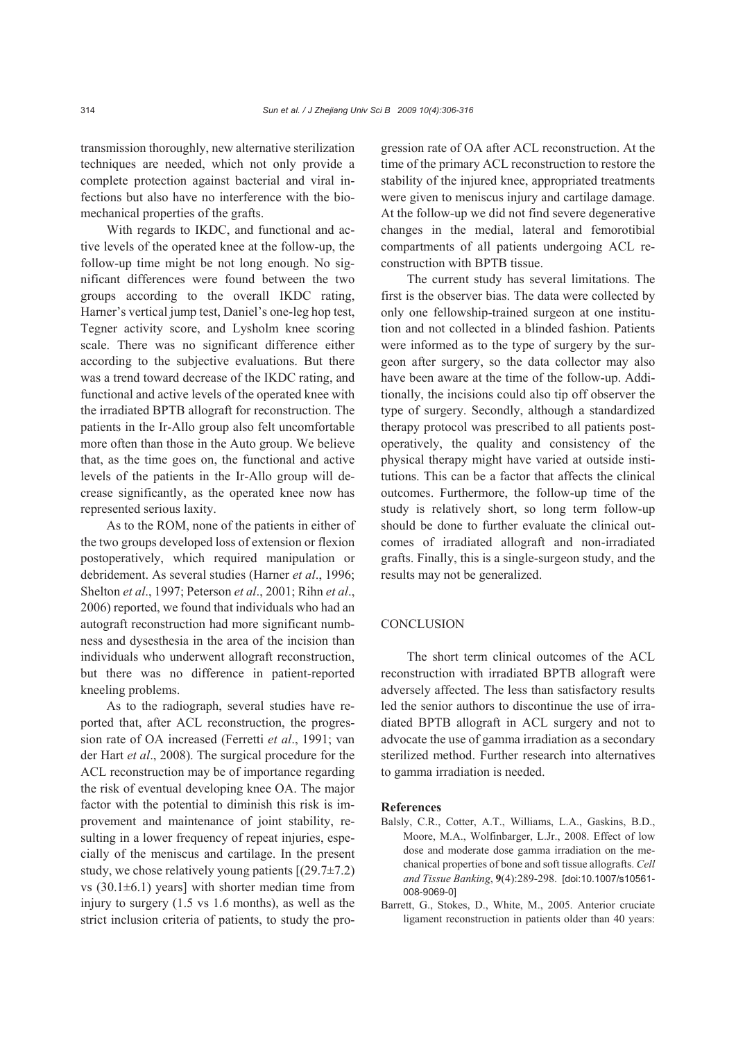transmission thoroughly, new alternative sterilization techniques are needed, which not only provide a complete protection against bacterial and viral infections but also have no interference with the biomechanical properties of the grafts.

With regards to IKDC, and functional and active levels of the operated knee at the follow-up, the follow-up time might be not long enough. No significant differences were found between the two groups according to the overall IKDC rating, Harner's vertical jump test, Daniel's one-leg hop test, Tegner activity score, and Lysholm knee scoring scale. There was no significant difference either according to the subjective evaluations. But there was a trend toward decrease of the IKDC rating, and functional and active levels of the operated knee with the irradiated BPTB allograft for reconstruction. The patients in the Ir-Allo group also felt uncomfortable more often than those in the Auto group. We believe that, as the time goes on, the functional and active levels of the patients in the Ir-Allo group will decrease significantly, as the operated knee now has represented serious laxity.

As to the ROM, none of the patients in either of the two groups developed loss of extension or flexion postoperatively, which required manipulation or debridement. As several studies (Harner *et al*., 1996; Shelton *et al*., 1997; Peterson *et al*., 2001; Rihn *et al*., 2006) reported, we found that individuals who had an autograft reconstruction had more significant numbness and dysesthesia in the area of the incision than individuals who underwent allograft reconstruction, but there was no difference in patient-reported kneeling problems.

As to the radiograph, several studies have reported that, after ACL reconstruction, the progression rate of OA increased (Ferretti *et al*., 1991; van der Hart *et al*., 2008). The surgical procedure for the ACL reconstruction may be of importance regarding the risk of eventual developing knee OA. The major factor with the potential to diminish this risk is improvement and maintenance of joint stability, resulting in a lower frequency of repeat injuries, especially of the meniscus and cartilage. In the present study, we chose relatively young patients  $[(29.7 \pm 7.2)]$ vs  $(30.1\pm6.1)$  years] with shorter median time from injury to surgery (1.5 vs 1.6 months), as well as the strict inclusion criteria of patients, to study the progression rate of OA after ACL reconstruction. At the time of the primary ACL reconstruction to restore the stability of the injured knee, appropriated treatments were given to meniscus injury and cartilage damage. At the follow-up we did not find severe degenerative changes in the medial, lateral and femorotibial compartments of all patients undergoing ACL reconstruction with BPTB tissue.

The current study has several limitations. The first is the observer bias. The data were collected by only one fellowship-trained surgeon at one institution and not collected in a blinded fashion. Patients were informed as to the type of surgery by the surgeon after surgery, so the data collector may also have been aware at the time of the follow-up. Additionally, the incisions could also tip off observer the type of surgery. Secondly, although a standardized therapy protocol was prescribed to all patients postoperatively, the quality and consistency of the physical therapy might have varied at outside institutions. This can be a factor that affects the clinical outcomes. Furthermore, the follow-up time of the study is relatively short, so long term follow-up should be done to further evaluate the clinical outcomes of irradiated allograft and non-irradiated grafts. Finally, this is a single-surgeon study, and the results may not be generalized.

## **CONCLUSION**

The short term clinical outcomes of the ACL reconstruction with irradiated BPTB allograft were adversely affected. The less than satisfactory results led the senior authors to discontinue the use of irradiated BPTB allograft in ACL surgery and not to advocate the use of gamma irradiation as a secondary sterilized method. Further research into alternatives to gamma irradiation is needed.

#### **References**

- Balsly, C.R., Cotter, A.T., Williams, L.A., Gaskins, B.D., Moore, M.A., Wolfinbarger, L.Jr., 2008. Effect of low dose and moderate dose gamma irradiation on the mechanical properties of bone and soft tissue allografts. *Cell and Tissue Banking*, **9**(4):289-298. [doi:10.1007/s10561- 008-9069-0]
- Barrett, G., Stokes, D., White, M., 2005. Anterior cruciate ligament reconstruction in patients older than 40 years: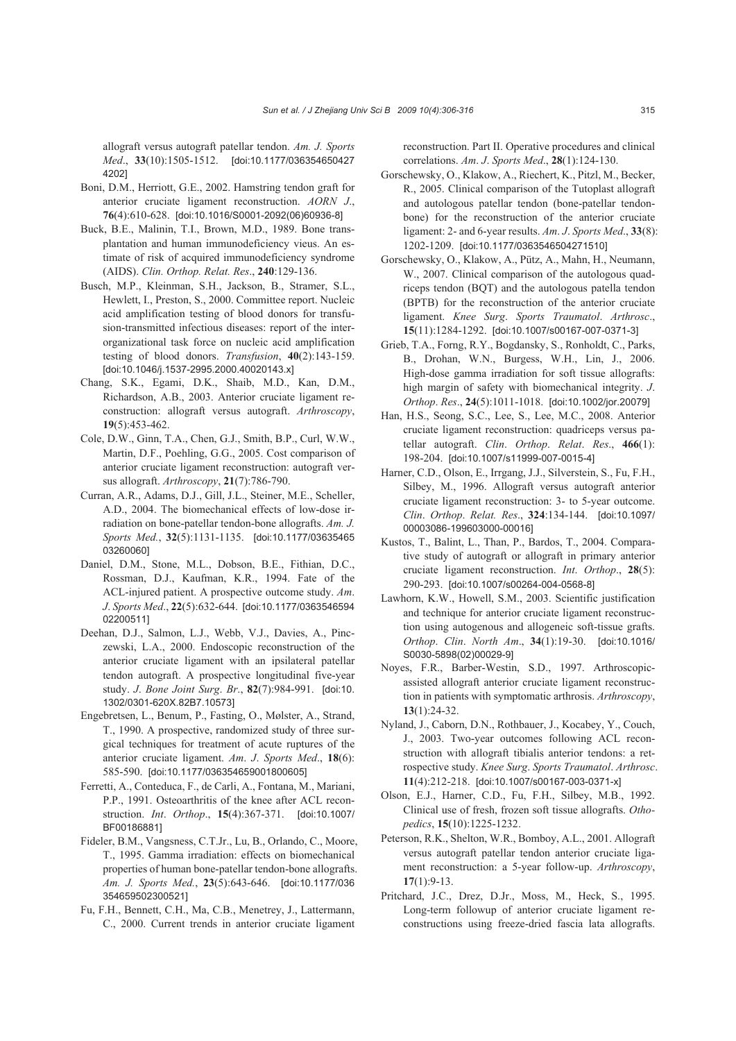allograft versus autograft patellar tendon. *Am. J. Sports Med*., **33**(10):1505-1512. [doi:10.1177/036354650427 4202]

- Boni, D.M., Herriott, G.E., 2002. Hamstring tendon graft for anterior cruciate ligament reconstruction. *AORN J*., **76**(4):610-628. [doi:10.1016/S0001-2092(06)60936-8]
- Buck, B.E., Malinin, T.I., Brown, M.D., 1989. Bone transplantation and human immunodeficiency vieus. An estimate of risk of acquired immunodeficiency syndrome (AIDS). *Clin. Orthop. Relat. Res*., **240**:129-136.
- Busch, M.P., Kleinman, S.H., Jackson, B., Stramer, S.L., Hewlett, I., Preston, S., 2000. Committee report. Nucleic acid amplification testing of blood donors for transfusion-transmitted infectious diseases: report of the interorganizational task force on nucleic acid amplification testing of blood donors. *Transfusion*, **40**(2):143-159. [doi:10.1046/j.1537-2995.2000.40020143.x]
- Chang, S.K., Egami, D.K., Shaib, M.D., Kan, D.M., Richardson, A.B., 2003. Anterior cruciate ligament reconstruction: allograft versus autograft. *Arthroscopy*, **19**(5):453-462.
- Cole, D.W., Ginn, T.A., Chen, G.J., Smith, B.P., Curl, W.W., Martin, D.F., Poehling, G.G., 2005. Cost comparison of anterior cruciate ligament reconstruction: autograft versus allograft. *Arthroscopy*, **21**(7):786-790.
- Curran, A.R., Adams, D.J., Gill, J.L., Steiner, M.E., Scheller, A.D., 2004. The biomechanical effects of low-dose irradiation on bone-patellar tendon-bone allografts. *Am. J. Sports Med.*, **32**(5):1131-1135. [doi:10.1177/03635465 03260060]
- Daniel, D.M., Stone, M.L., Dobson, B.E., Fithian, D.C., Rossman, D.J., Kaufman, K.R., 1994. Fate of the ACL-injured patient. A prospective outcome study. *Am*. *J*. *Sports Med*., **22**(5):632-644. [doi:10.1177/0363546594 02200511]
- Deehan, D.J., Salmon, L.J., Webb, V.J., Davies, A., Pinczewski, L.A., 2000. Endoscopic reconstruction of the anterior cruciate ligament with an ipsilateral patellar tendon autograft. A prospective longitudinal five-year study. *J*. *Bone Joint Surg*. *Br*., **82**(7):984-991. [doi:10. 1302/0301-620X.82B7.10573]
- Engebretsen, L., Benum, P., Fasting, O., Mølster, A., Strand, T., 1990. A prospective, randomized study of three surgical techniques for treatment of acute ruptures of the anterior cruciate ligament. *Am*. *J*. *Sports Med*., **18**(6): 585-590. [doi:10.1177/036354659001800605]
- Ferretti, A., Conteduca, F., de Carli, A., Fontana, M., Mariani, P.P., 1991. Osteoarthritis of the knee after ACL reconstruction. *Int*. *Orthop*., **15**(4):367-371. [doi:10.1007/ BF00186881]
- Fideler, B.M., Vangsness, C.T.Jr., Lu, B., Orlando, C., Moore, T., 1995. Gamma irradiation: effects on biomechanical properties of human bone-patellar tendon-bone allografts. *Am. J. Sports Med.*, **23**(5):643-646. [doi:10.1177/036 354659502300521]
- Fu, F.H., Bennett, C.H., Ma, C.B., Menetrey, J., Lattermann, C., 2000. Current trends in anterior cruciate ligament

reconstruction. Part II. Operative procedures and clinical correlations. *Am*. *J*. *Sports Med*., **28**(1):124-130.

- Gorschewsky, O., Klakow, A., Riechert, K., Pitzl, M., Becker, R., 2005. Clinical comparison of the Tutoplast allograft and autologous patellar tendon (bone-patellar tendonbone) for the reconstruction of the anterior cruciate ligament: 2- and 6-year results. *Am*. *J*. *Sports Med*., **33**(8): 1202-1209. [doi:10.1177/0363546504271510]
- Gorschewsky, O., Klakow, A., Pütz, A., Mahn, H., Neumann, W., 2007. Clinical comparison of the autologous quadriceps tendon (BQT) and the autologous patella tendon (BPTB) for the reconstruction of the anterior cruciate ligament. *Knee Surg*. *Sports Traumatol*. *Arthrosc*., **15**(11):1284-1292. [doi:10.1007/s00167-007-0371-3]
- Grieb, T.A., Forng, R.Y., Bogdansky, S., Ronholdt, C., Parks, B., Drohan, W.N., Burgess, W.H., Lin, J., 2006. High-dose gamma irradiation for soft tissue allografts: high margin of safety with biomechanical integrity. *J*. *Orthop*. *Res*., **24**(5):1011-1018. [doi:10.1002/jor.20079]
- Han, H.S., Seong, S.C., Lee, S., Lee, M.C., 2008. Anterior cruciate ligament reconstruction: quadriceps versus patellar autograft. *Clin*. *Orthop*. *Relat*. *Res*., **466**(1): 198-204. [doi:10.1007/s11999-007-0015-4]
- Harner, C.D., Olson, E., Irrgang, J.J., Silverstein, S., Fu, F.H., Silbey, M., 1996. Allograft versus autograft anterior cruciate ligament reconstruction: 3- to 5-year outcome. *Clin*. *Orthop*. *Relat. Res*., **324**:134-144. [doi:10.1097/ 00003086-199603000-00016]
- Kustos, T., Balint, L., Than, P., Bardos, T., 2004. Comparative study of autograft or allograft in primary anterior cruciate ligament reconstruction. *Int*. *Orthop*., **28**(5): 290-293. [doi:10.1007/s00264-004-0568-8]
- Lawhorn, K.W., Howell, S.M., 2003. Scientific justification and technique for anterior cruciate ligament reconstruction using autogenous and allogeneic soft-tissue grafts. *Orthop*. *Clin*. *North Am*., **34**(1):19-30. [doi:10.1016/ S0030-5898(02)00029-9]
- Noyes, F.R., Barber-Westin, S.D., 1997. Arthroscopicassisted allograft anterior cruciate ligament reconstruction in patients with symptomatic arthrosis. *Arthroscopy*, **13**(1):24-32.
- Nyland, J., Caborn, D.N., Rothbauer, J., Kocabey, Y., Couch, J., 2003. Two-year outcomes following ACL reconstruction with allograft tibialis anterior tendons: a retrospective study. *Knee Surg*. *Sports Traumatol*. *Arthrosc*. **11**(4):212-218. [doi:10.1007/s00167-003-0371-x]
- Olson, E.J., Harner, C.D., Fu, F.H., Silbey, M.B., 1992. Clinical use of fresh, frozen soft tissue allografts. *Othopedics*, **15**(10):1225-1232.
- Peterson, R.K., Shelton, W.R., Bomboy, A.L., 2001. Allograft versus autograft patellar tendon anterior cruciate ligament reconstruction: a 5-year follow-up. *Arthroscopy*, **17**(1):9-13.
- Pritchard, J.C., Drez, D.Jr., Moss, M., Heck, S., 1995. Long-term followup of anterior cruciate ligament reconstructions using freeze-dried fascia lata allografts.